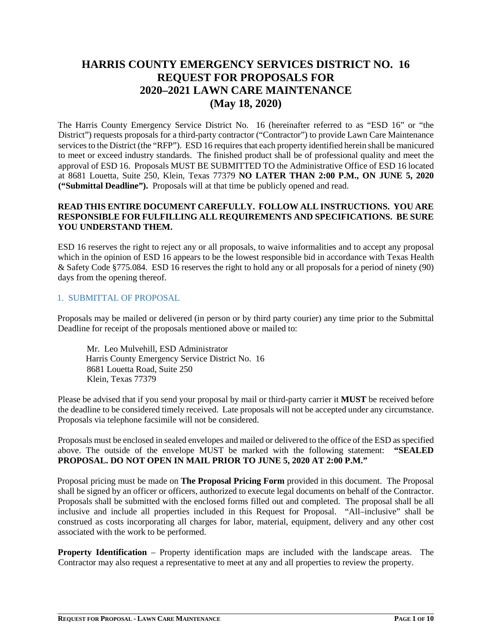# **HARRIS COUNTY EMERGENCY SERVICES DISTRICT NO. 16 REQUEST FOR PROPOSALS FOR 2020–2021 LAWN CARE MAINTENANCE (May 18, 2020)**

The Harris County Emergency Service District No. 16 (hereinafter referred to as "ESD 16" or "the District") requests proposals for a third-party contractor ("Contractor") to provide Lawn Care Maintenance services to the District (the "RFP"). ESD 16 requires that each property identified herein shall be manicured to meet or exceed industry standards. The finished product shall be of professional quality and meet the approval of ESD 16. Proposals MUST BE SUBMITTED TO the Administrative Office of ESD 16 located at 8681 Louetta, Suite 250, Klein, Texas 77379 **NO LATER THAN 2:00 P.M., ON JUNE 5, 2020 ("Submittal Deadline").** Proposals will at that time be publicly opened and read.

#### **READ THIS ENTIRE DOCUMENT CAREFULLY. FOLLOW ALL INSTRUCTIONS. YOU ARE RESPONSIBLE FOR FULFILLING ALL REQUIREMENTS AND SPECIFICATIONS. BE SURE YOU UNDERSTAND THEM.**

ESD 16 reserves the right to reject any or all proposals, to waive informalities and to accept any proposal which in the opinion of ESD 16 appears to be the lowest responsible bid in accordance with Texas Health & Safety Code §775.084. ESD 16 reserves the right to hold any or all proposals for a period of ninety (90) days from the opening thereof.

## 1. SUBMITTAL OF PROPOSAL

Proposals may be mailed or delivered (in person or by third party courier) any time prior to the Submittal Deadline for receipt of the proposals mentioned above or mailed to:

Mr. Leo Mulvehill, ESD Administrator Harris County Emergency Service District No. 16 8681 Louetta Road, Suite 250 Klein, Texas 77379

Please be advised that if you send your proposal by mail or third-party carrier it **MUST** be received before the deadline to be considered timely received. Late proposals will not be accepted under any circumstance. Proposals via telephone facsimile will not be considered.

Proposals must be enclosed in sealed envelopes and mailed or delivered to the office of the ESD as specified above. The outside of the envelope MUST be marked with the following statement: **"SEALED PROPOSAL. DO NOT OPEN IN MAIL PRIOR TO JUNE 5, 2020 AT 2:00 P.M."**

Proposal pricing must be made on **The Proposal Pricing Form** provided in this document. The Proposal shall be signed by an officer or officers, authorized to execute legal documents on behalf of the Contractor. Proposals shall be submitted with the enclosed forms filled out and completed. The proposal shall be all inclusive and include all properties included in this Request for Proposal. "All–inclusive" shall be construed as costs incorporating all charges for labor, material, equipment, delivery and any other cost associated with the work to be performed.

**Property Identification** – Property identification maps are included with the landscape areas. The Contractor may also request a representative to meet at any and all properties to review the property.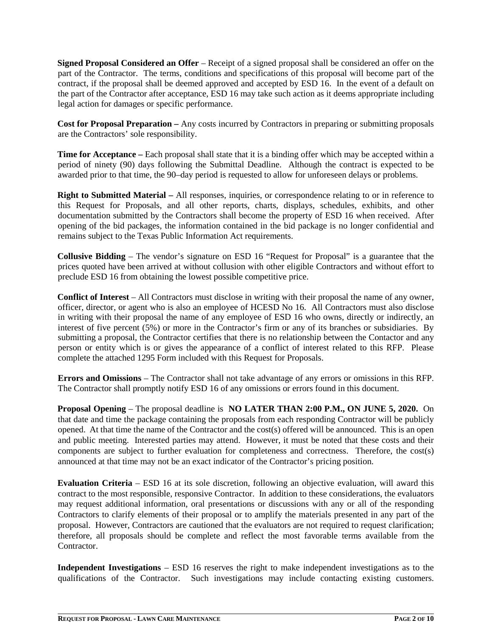**Signed Proposal Considered an Offer** – Receipt of a signed proposal shall be considered an offer on the part of the Contractor. The terms, conditions and specifications of this proposal will become part of the contract, if the proposal shall be deemed approved and accepted by ESD 16. In the event of a default on the part of the Contractor after acceptance, ESD 16 may take such action as it deems appropriate including legal action for damages or specific performance.

**Cost for Proposal Preparation –** Any costs incurred by Contractors in preparing or submitting proposals are the Contractors' sole responsibility.

**Time for Acceptance** – Each proposal shall state that it is a binding offer which may be accepted within a period of ninety (90) days following the Submittal Deadline. Although the contract is expected to be awarded prior to that time, the 90–day period is requested to allow for unforeseen delays or problems.

**Right to Submitted Material –** All responses, inquiries, or correspondence relating to or in reference to this Request for Proposals, and all other reports, charts, displays, schedules, exhibits, and other documentation submitted by the Contractors shall become the property of ESD 16 when received. After opening of the bid packages, the information contained in the bid package is no longer confidential and remains subject to the Texas Public Information Act requirements.

**Collusive Bidding** – The vendor's signature on ESD 16 "Request for Proposal" is a guarantee that the prices quoted have been arrived at without collusion with other eligible Contractors and without effort to preclude ESD 16 from obtaining the lowest possible competitive price.

**Conflict of Interest** – All Contractors must disclose in writing with their proposal the name of any owner, officer, director, or agent who is also an employee of HCESD No 16. All Contractors must also disclose in writing with their proposal the name of any employee of ESD 16 who owns, directly or indirectly, an interest of five percent (5%) or more in the Contractor's firm or any of its branches or subsidiaries. By submitting a proposal, the Contractor certifies that there is no relationship between the Contactor and any person or entity which is or gives the appearance of a conflict of interest related to this RFP. Please complete the attached 1295 Form included with this Request for Proposals.

**Errors and Omissions** – The Contractor shall not take advantage of any errors or omissions in this RFP. The Contractor shall promptly notify ESD 16 of any omissions or errors found in this document.

**Proposal Opening** – The proposal deadline is **NO LATER THAN 2:00 P.M., ON JUNE 5, 2020.** On that date and time the package containing the proposals from each responding Contractor will be publicly opened. At that time the name of the Contractor and the cost(s) offered will be announced. This is an open and public meeting. Interested parties may attend. However, it must be noted that these costs and their components are subject to further evaluation for completeness and correctness. Therefore, the cost(s) announced at that time may not be an exact indicator of the Contractor's pricing position.

**Evaluation Criteria** – ESD 16 at its sole discretion, following an objective evaluation, will award this contract to the most responsible, responsive Contractor. In addition to these considerations, the evaluators may request additional information, oral presentations or discussions with any or all of the responding Contractors to clarify elements of their proposal or to amplify the materials presented in any part of the proposal. However, Contractors are cautioned that the evaluators are not required to request clarification; therefore, all proposals should be complete and reflect the most favorable terms available from the Contractor.

**Independent Investigations** – ESD 16 reserves the right to make independent investigations as to the qualifications of the Contractor. Such investigations may include contacting existing customers.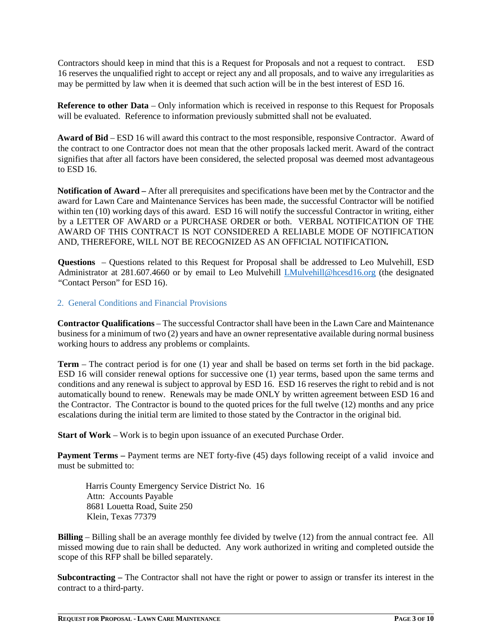Contractors should keep in mind that this is a Request for Proposals and not a request to contract. ESD 16 reserves the unqualified right to accept or reject any and all proposals, and to waive any irregularities as may be permitted by law when it is deemed that such action will be in the best interest of ESD 16.

**Reference to other Data** – Only information which is received in response to this Request for Proposals will be evaluated. Reference to information previously submitted shall not be evaluated.

**Award of Bid** – ESD 16 will award this contract to the most responsible, responsive Contractor. Award of the contract to one Contractor does not mean that the other proposals lacked merit. Award of the contract signifies that after all factors have been considered, the selected proposal was deemed most advantageous to ESD 16.

**Notification of Award –** After all prerequisites and specifications have been met by the Contractor and the award for Lawn Care and Maintenance Services has been made, the successful Contractor will be notified within ten (10) working days of this award. ESD 16 will notify the successful Contractor in writing, either by a LETTER OF AWARD or a PURCHASE ORDER or both. VERBAL NOTIFICATION OF THE AWARD OF THIS CONTRACT IS NOT CONSIDERED A RELIABLE MODE OF NOTIFICATION AND, THEREFORE, WILL NOT BE RECOGNIZED AS AN OFFICIAL NOTIFICATION*.*

**Questions** – Questions related to this Request for Proposal shall be addressed to Leo Mulvehill, ESD Administrator at 281.607.4660 or by email to Leo Mulvehill [LMulvehill@hcesd16.org](mailto:LMulvehill@hcesd16.org) (the designated "Contact Person" for ESD 16).

#### 2. General Conditions and Financial Provisions

**Contractor Qualifications** – The successful Contractor shall have been in the Lawn Care and Maintenance business for a minimum of two (2) years and have an owner representative available during normal business working hours to address any problems or complaints.

**Term** – The contract period is for one (1) year and shall be based on terms set forth in the bid package. ESD 16 will consider renewal options for successive one (1) year terms, based upon the same terms and conditions and any renewal is subject to approval by ESD 16. ESD 16 reserves the right to rebid and is not automatically bound to renew. Renewals may be made ONLY by written agreement between ESD 16 and the Contractor. The Contractor is bound to the quoted prices for the full twelve (12) months and any price escalations during the initial term are limited to those stated by the Contractor in the original bid.

**Start of Work** – Work is to begin upon issuance of an executed Purchase Order.

**Payment Terms – Payment terms are NET forty-five (45) days following receipt of a valid invoice and** must be submitted to:

Harris County Emergency Service District No. 16 Attn: Accounts Payable 8681 Louetta Road, Suite 250 Klein, Texas 77379

**Billing** – Billing shall be an average monthly fee divided by twelve (12) from the annual contract fee. All missed mowing due to rain shall be deducted. Any work authorized in writing and completed outside the scope of this RFP shall be billed separately.

**Subcontracting –** The Contractor shall not have the right or power to assign or transfer its interest in the contract to a third-party.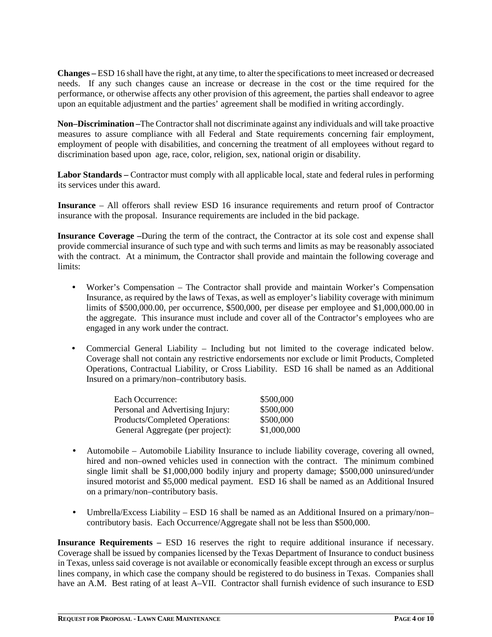**Changes –** ESD 16 shall have the right, at any time, to alter the specifications to meet increased or decreased needs. If any such changes cause an increase or decrease in the cost or the time required for the performance, or otherwise affects any other provision of this agreement, the parties shall endeavor to agree upon an equitable adjustment and the parties' agreement shall be modified in writing accordingly.

**Non–Discrimination –**The Contractor shall not discriminate against any individuals and will take proactive measures to assure compliance with all Federal and State requirements concerning fair employment, employment of people with disabilities, and concerning the treatment of all employees without regard to discrimination based upon age, race, color, religion, sex, national origin or disability.

**Labor Standards –** Contractor must comply with all applicable local, state and federal rules in performing its services under this award.

**Insurance** – All offerors shall review ESD 16 insurance requirements and return proof of Contractor insurance with the proposal. Insurance requirements are included in the bid package.

**Insurance Coverage –**During the term of the contract, the Contractor at its sole cost and expense shall provide commercial insurance of such type and with such terms and limits as may be reasonably associated with the contract. At a minimum, the Contractor shall provide and maintain the following coverage and limits:

- Worker's Compensation The Contractor shall provide and maintain Worker's Compensation Insurance, as required by the laws of Texas, as well as employer's liability coverage with minimum limits of \$500,000.00, per occurrence, \$500,000, per disease per employee and \$1,000,000.00 in the aggregate. This insurance must include and cover all of the Contractor's employees who are engaged in any work under the contract.
- Commercial General Liability Including but not limited to the coverage indicated below. Coverage shall not contain any restrictive endorsements nor exclude or limit Products, Completed Operations, Contractual Liability, or Cross Liability. ESD 16 shall be named as an Additional Insured on a primary/non–contributory basis.

| Each Occurrence:                 | \$500,000   |
|----------------------------------|-------------|
| Personal and Advertising Injury: | \$500,000   |
| Products/Completed Operations:   | \$500,000   |
| General Aggregate (per project): | \$1,000,000 |

- Automobile Automobile Liability Insurance to include liability coverage, covering all owned, hired and non–owned vehicles used in connection with the contract. The minimum combined single limit shall be \$1,000,000 bodily injury and property damage; \$500,000 uninsured/under insured motorist and \$5,000 medical payment. ESD 16 shall be named as an Additional Insured on a primary/non–contributory basis.
- Umbrella/Excess Liability ESD 16 shall be named as an Additional Insured on a primary/non– contributory basis. Each Occurrence/Aggregate shall not be less than \$500,000.

**Insurance Requirements –** ESD 16 reserves the right to require additional insurance if necessary. Coverage shall be issued by companies licensed by the Texas Department of Insurance to conduct business in Texas, unless said coverage is not available or economically feasible except through an excess or surplus lines company, in which case the company should be registered to do business in Texas. Companies shall have an A.M. Best rating of at least A–VII. Contractor shall furnish evidence of such insurance to ESD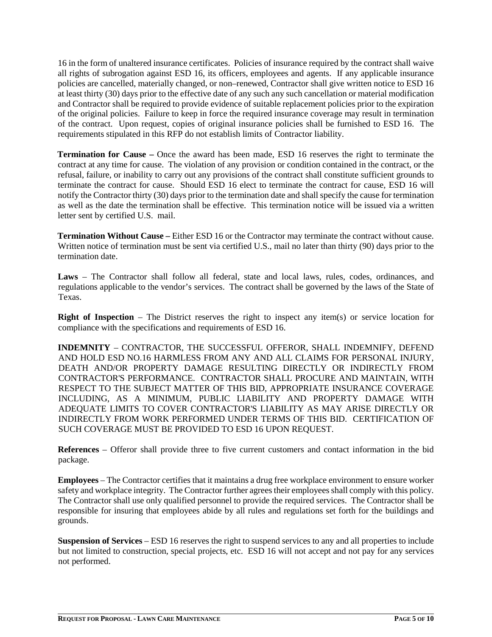16 in the form of unaltered insurance certificates. Policies of insurance required by the contract shall waive all rights of subrogation against ESD 16, its officers, employees and agents. If any applicable insurance policies are cancelled, materially changed, or non–renewed, Contractor shall give written notice to ESD 16 at least thirty (30) days prior to the effective date of any such any such cancellation or material modification and Contractor shall be required to provide evidence of suitable replacement policies prior to the expiration of the original policies. Failure to keep in force the required insurance coverage may result in termination of the contract. Upon request, copies of original insurance policies shall be furnished to ESD 16. The requirements stipulated in this RFP do not establish limits of Contractor liability.

**Termination for Cause** – Once the award has been made, ESD 16 reserves the right to terminate the contract at any time for cause. The violation of any provision or condition contained in the contract, or the refusal, failure, or inability to carry out any provisions of the contract shall constitute sufficient grounds to terminate the contract for cause. Should ESD 16 elect to terminate the contract for cause, ESD 16 will notify the Contractor thirty (30) days prior to the termination date and shall specify the cause for termination as well as the date the termination shall be effective. This termination notice will be issued via a written letter sent by certified U.S. mail.

**Termination Without Cause –** Either ESD 16 or the Contractor may terminate the contract without cause. Written notice of termination must be sent via certified U.S., mail no later than thirty (90) days prior to the termination date.

**Laws** – The Contractor shall follow all federal, state and local laws, rules, codes, ordinances, and regulations applicable to the vendor's services. The contract shall be governed by the laws of the State of Texas.

**Right of Inspection** – The District reserves the right to inspect any item(s) or service location for compliance with the specifications and requirements of ESD 16.

**INDEMNITY** – CONTRACTOR, THE SUCCESSFUL OFFEROR, SHALL INDEMNIFY, DEFEND AND HOLD ESD NO.16 HARMLESS FROM ANY AND ALL CLAIMS FOR PERSONAL INJURY, DEATH AND/OR PROPERTY DAMAGE RESULTING DIRECTLY OR INDIRECTLY FROM CONTRACTOR'S PERFORMANCE. CONTRACTOR SHALL PROCURE AND MAINTAIN, WITH RESPECT TO THE SUBJECT MATTER OF THIS BID, APPROPRIATE INSURANCE COVERAGE INCLUDING, AS A MINIMUM, PUBLIC LIABILITY AND PROPERTY DAMAGE WITH ADEQUATE LIMITS TO COVER CONTRACTOR'S LIABILITY AS MAY ARISE DIRECTLY OR INDIRECTLY FROM WORK PERFORMED UNDER TERMS OF THIS BID. CERTIFICATION OF SUCH COVERAGE MUST BE PROVIDED TO ESD 16 UPON REQUEST.

**References** – Offeror shall provide three to five current customers and contact information in the bid package.

**Employees** – The Contractor certifies that it maintains a drug free workplace environment to ensure worker safety and workplace integrity. The Contractor further agrees their employees shall comply with this policy. The Contractor shall use only qualified personnel to provide the required services. The Contractor shall be responsible for insuring that employees abide by all rules and regulations set forth for the buildings and grounds.

**Suspension of Services** – ESD 16 reserves the right to suspend services to any and all properties to include but not limited to construction, special projects, etc. ESD 16 will not accept and not pay for any services not performed.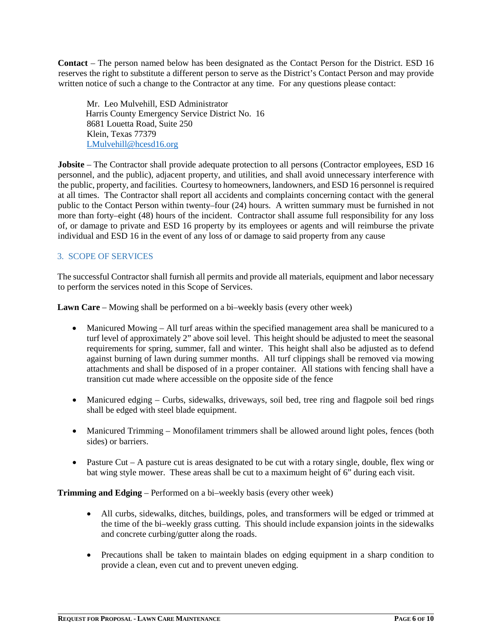**Contact** – The person named below has been designated as the Contact Person for the District. ESD 16 reserves the right to substitute a different person to serve as the District's Contact Person and may provide written notice of such a change to the Contractor at any time. For any questions please contact:

Mr. Leo Mulvehill, ESD Administrator Harris County Emergency Service District No. 16 8681 Louetta Road, Suite 250 Klein, Texas 77379 [LMulvehill@hcesd16.org](mailto:LMulvehill@hcesd16.org)

**Jobsite** – The Contractor shall provide adequate protection to all persons (Contractor employees, ESD 16 personnel, and the public), adjacent property, and utilities, and shall avoid unnecessary interference with the public, property, and facilities. Courtesy to homeowners, landowners, and ESD 16 personnel is required at all times. The Contractor shall report all accidents and complaints concerning contact with the general public to the Contact Person within twenty–four (24) hours. A written summary must be furnished in not more than forty–eight (48) hours of the incident. Contractor shall assume full responsibility for any loss of, or damage to private and ESD 16 property by its employees or agents and will reimburse the private individual and ESD 16 in the event of any loss of or damage to said property from any cause

## 3. SCOPE OF SERVICES

The successful Contractor shall furnish all permits and provide all materials, equipment and labor necessary to perform the services noted in this Scope of Services.

**Lawn Care** – Mowing shall be performed on a bi–weekly basis (every other week)

- Manicured Mowing All turf areas within the specified management area shall be manicured to a turf level of approximately 2" above soil level. This height should be adjusted to meet the seasonal requirements for spring, summer, fall and winter. This height shall also be adjusted as to defend against burning of lawn during summer months. All turf clippings shall be removed via mowing attachments and shall be disposed of in a proper container. All stations with fencing shall have a transition cut made where accessible on the opposite side of the fence
- Manicured edging Curbs, sidewalks, driveways, soil bed, tree ring and flagpole soil bed rings shall be edged with steel blade equipment.
- Manicured Trimming Monofilament trimmers shall be allowed around light poles, fences (both sides) or barriers.
- Pasture Cut A pasture cut is areas designated to be cut with a rotary single, double, flex wing or bat wing style mower. These areas shall be cut to a maximum height of 6" during each visit.

**Trimming and Edging** – Performed on a bi–weekly basis (every other week)

- All curbs, sidewalks, ditches, buildings, poles, and transformers will be edged or trimmed at the time of the bi–weekly grass cutting. This should include expansion joints in the sidewalks and concrete curbing/gutter along the roads.
- Precautions shall be taken to maintain blades on edging equipment in a sharp condition to provide a clean, even cut and to prevent uneven edging.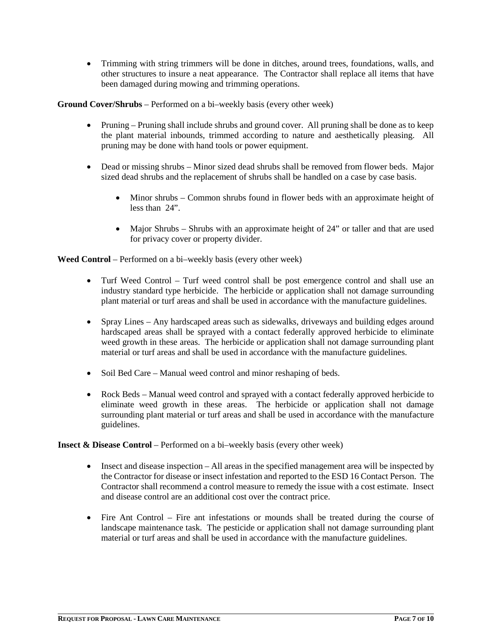• Trimming with string trimmers will be done in ditches, around trees, foundations, walls, and other structures to insure a neat appearance. The Contractor shall replace all items that have been damaged during mowing and trimming operations.

**Ground Cover/Shrubs** – Performed on a bi–weekly basis (every other week)

- Pruning Pruning shall include shrubs and ground cover. All pruning shall be done as to keep the plant material inbounds, trimmed according to nature and aesthetically pleasing. All pruning may be done with hand tools or power equipment.
- Dead or missing shrubs Minor sized dead shrubs shall be removed from flower beds. Major sized dead shrubs and the replacement of shrubs shall be handled on a case by case basis.
	- Minor shrubs Common shrubs found in flower beds with an approximate height of less than 24".
	- Major Shrubs Shrubs with an approximate height of 24" or taller and that are used for privacy cover or property divider.

**Weed Control** – Performed on a bi–weekly basis (every other week)

- Turf Weed Control Turf weed control shall be post emergence control and shall use an industry standard type herbicide. The herbicide or application shall not damage surrounding plant material or turf areas and shall be used in accordance with the manufacture guidelines.
- Spray Lines Any hardscaped areas such as sidewalks, driveways and building edges around hardscaped areas shall be sprayed with a contact federally approved herbicide to eliminate weed growth in these areas. The herbicide or application shall not damage surrounding plant material or turf areas and shall be used in accordance with the manufacture guidelines.
- Soil Bed Care Manual weed control and minor reshaping of beds.
- Rock Beds Manual weed control and sprayed with a contact federally approved herbicide to eliminate weed growth in these areas. The herbicide or application shall not damage surrounding plant material or turf areas and shall be used in accordance with the manufacture guidelines.

**Insect & Disease Control** – Performed on a bi–weekly basis (every other week)

- Insect and disease inspection All areas in the specified management area will be inspected by the Contractor for disease or insect infestation and reported to the ESD 16 Contact Person. The Contractor shall recommend a control measure to remedy the issue with a cost estimate. Insect and disease control are an additional cost over the contract price.
- Fire Ant Control Fire ant infestations or mounds shall be treated during the course of landscape maintenance task. The pesticide or application shall not damage surrounding plant material or turf areas and shall be used in accordance with the manufacture guidelines.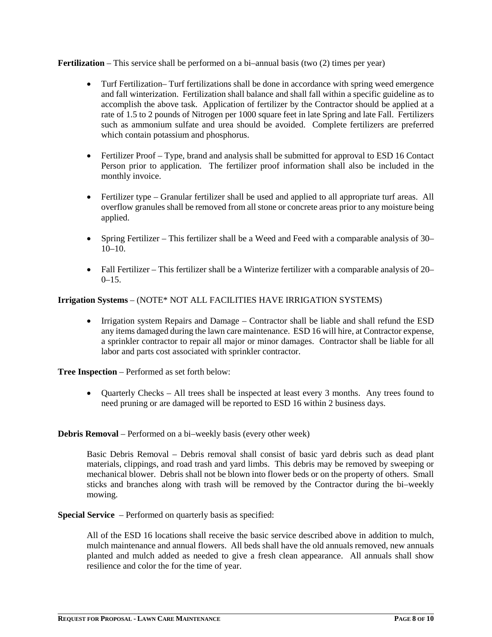**Fertilization** – This service shall be performed on a bi–annual basis (two (2) times per year)

- Turf Fertilization– Turf fertilizations shall be done in accordance with spring weed emergence and fall winterization. Fertilization shall balance and shall fall within a specific guideline as to accomplish the above task. Application of fertilizer by the Contractor should be applied at a rate of 1.5 to 2 pounds of Nitrogen per 1000 square feet in late Spring and late Fall. Fertilizers such as ammonium sulfate and urea should be avoided. Complete fertilizers are preferred which contain potassium and phosphorus.
- Fertilizer Proof Type, brand and analysis shall be submitted for approval to ESD 16 Contact Person prior to application. The fertilizer proof information shall also be included in the monthly invoice.
- Fertilizer type Granular fertilizer shall be used and applied to all appropriate turf areas. All overflow granules shall be removed from all stone or concrete areas prior to any moisture being applied.
- Spring Fertilizer This fertilizer shall be a Weed and Feed with a comparable analysis of 30– 10–10.
- Fall Fertilizer This fertilizer shall be a Winterize fertilizer with a comparable analysis of 20–  $0-15.$

## **Irrigation Systems** – (NOTE\* NOT ALL FACILITIES HAVE IRRIGATION SYSTEMS)

• Irrigation system Repairs and Damage – Contractor shall be liable and shall refund the ESD any items damaged during the lawn care maintenance. ESD 16 will hire, at Contractor expense, a sprinkler contractor to repair all major or minor damages. Contractor shall be liable for all labor and parts cost associated with sprinkler contractor.

**Tree Inspection** – Performed as set forth below:

• Quarterly Checks – All trees shall be inspected at least every 3 months. Any trees found to need pruning or are damaged will be reported to ESD 16 within 2 business days.

**Debris Removal** – Performed on a bi–weekly basis (every other week)

Basic Debris Removal – Debris removal shall consist of basic yard debris such as dead plant materials, clippings, and road trash and yard limbs. This debris may be removed by sweeping or mechanical blower. Debris shall not be blown into flower beds or on the property of others. Small sticks and branches along with trash will be removed by the Contractor during the bi–weekly mowing.

**Special Service** – Performed on quarterly basis as specified:

All of the ESD 16 locations shall receive the basic service described above in addition to mulch, mulch maintenance and annual flowers. All beds shall have the old annuals removed, new annuals planted and mulch added as needed to give a fresh clean appearance. All annuals shall show resilience and color the for the time of year.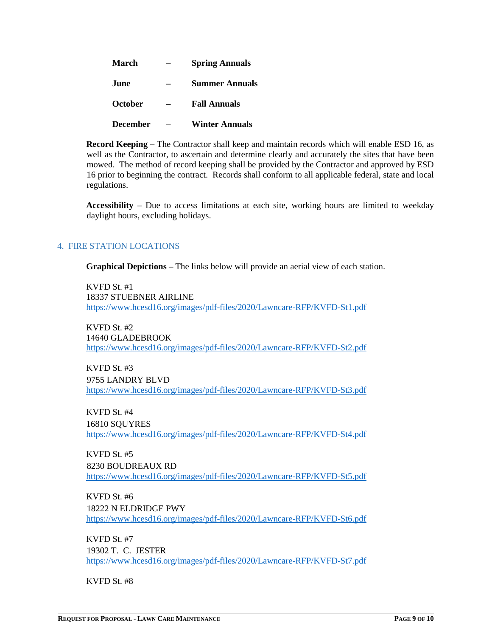| March           | <b>Spring Annuals</b> |  |
|-----------------|-----------------------|--|
| .Iune           | <b>Summer Annuals</b> |  |
| October         | <b>Fall Annuals</b>   |  |
| <b>December</b> | <b>Winter Annuals</b> |  |

**Record Keeping –** The Contractor shall keep and maintain records which will enable ESD 16, as well as the Contractor, to ascertain and determine clearly and accurately the sites that have been mowed. The method of record keeping shall be provided by the Contractor and approved by ESD 16 prior to beginning the contract. Records shall conform to all applicable federal, state and local regulations.

**Accessibility** – Due to access limitations at each site, working hours are limited to weekday daylight hours, excluding holidays.

#### 4. FIRE STATION LOCATIONS

**Graphical Depictions** – The links below will provide an aerial view of each station.

KVFD St. #1 18337 STUEBNER AIRLINE <https://www.hcesd16.org/images/pdf-files/2020/Lawncare-RFP/KVFD-St1.pdf>

KVFD St. #2 14640 GLADEBROOK <https://www.hcesd16.org/images/pdf-files/2020/Lawncare-RFP/KVFD-St2.pdf>

KVFD St. #3 9755 LANDRY BLVD <https://www.hcesd16.org/images/pdf-files/2020/Lawncare-RFP/KVFD-St3.pdf>

KVFD St. #4 16810 SQUYRES <https://www.hcesd16.org/images/pdf-files/2020/Lawncare-RFP/KVFD-St4.pdf>

KVFD St. #5 8230 BOUDREAUX RD <https://www.hcesd16.org/images/pdf-files/2020/Lawncare-RFP/KVFD-St5.pdf>

KVFD St. #6 18222 N ELDRIDGE PWY <https://www.hcesd16.org/images/pdf-files/2020/Lawncare-RFP/KVFD-St6.pdf>

KVFD St. #7 19302 T. C. JESTER <https://www.hcesd16.org/images/pdf-files/2020/Lawncare-RFP/KVFD-St7.pdf>

KVFD St. #8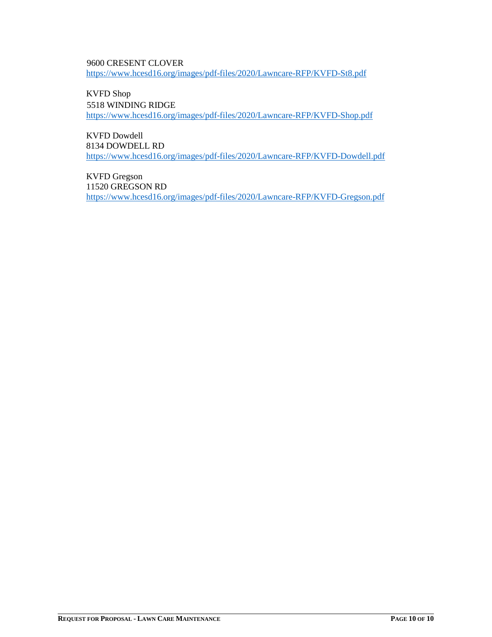9600 CRESENT CLOVER <https://www.hcesd16.org/images/pdf-files/2020/Lawncare-RFP/KVFD-St8.pdf>

KVFD Shop 5518 WINDING RIDGE <https://www.hcesd16.org/images/pdf-files/2020/Lawncare-RFP/KVFD-Shop.pdf>

KVFD Dowdell 8134 DOWDELL RD <https://www.hcesd16.org/images/pdf-files/2020/Lawncare-RFP/KVFD-Dowdell.pdf>

KVFD Gregson 11520 GREGSON RD <https://www.hcesd16.org/images/pdf-files/2020/Lawncare-RFP/KVFD-Gregson.pdf>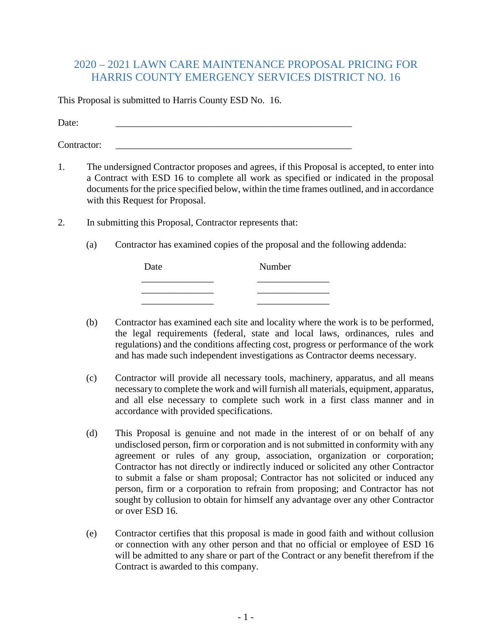# 2020 – 2021 LAWN CARE MAINTENANCE PROPOSAL PRICING FOR HARRIS COUNTY EMERGENCY SERVICES DISTRICT NO. 16

This Proposal is submitted to Harris County ESD No. 16.

Date: \_\_\_\_\_\_\_\_\_\_\_\_\_\_\_\_\_\_\_\_\_\_\_\_\_\_\_\_\_\_\_\_\_\_\_\_\_\_\_\_\_\_\_\_\_\_\_\_\_

Contractor:

- 1. The undersigned Contractor proposes and agrees, if this Proposal is accepted, to enter into a Contract with ESD 16 to complete all work as specified or indicated in the proposal documents for the price specified below, within the time frames outlined, and in accordance with this Request for Proposal.
- 2. In submitting this Proposal, Contractor represents that:
	- (a) Contractor has examined copies of the proposal and the following addenda:

| Date | Number |  |  |
|------|--------|--|--|
|      |        |  |  |
|      |        |  |  |
|      |        |  |  |

- (b) Contractor has examined each site and locality where the work is to be performed, the legal requirements (federal, state and local laws, ordinances, rules and regulations) and the conditions affecting cost, progress or performance of the work and has made such independent investigations as Contractor deems necessary.
- (c) Contractor will provide all necessary tools, machinery, apparatus, and all means necessary to complete the work and will furnish all materials, equipment, apparatus, and all else necessary to complete such work in a first class manner and in accordance with provided specifications.
- (d) This Proposal is genuine and not made in the interest of or on behalf of any undisclosed person, firm or corporation and is not submitted in conformity with any agreement or rules of any group, association, organization or corporation; Contractor has not directly or indirectly induced or solicited any other Contractor to submit a false or sham proposal; Contractor has not solicited or induced any person, firm or a corporation to refrain from proposing; and Contractor has not sought by collusion to obtain for himself any advantage over any other Contractor or over ESD 16.
- (e) Contractor certifies that this proposal is made in good faith and without collusion or connection with any other person and that no official or employee of ESD 16 will be admitted to any share or part of the Contract or any benefit therefrom if the Contract is awarded to this company.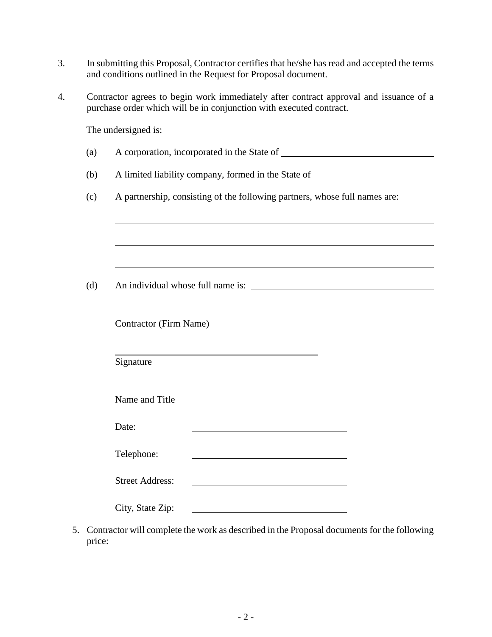- 3. In submitting this Proposal, Contractor certifies that he/she has read and accepted the terms and conditions outlined in the Request for Proposal document.
- 4. Contractor agrees to begin work immediately after contract approval and issuance of a purchase order which will be in conjunction with executed contract.

The undersigned is:

- (a) A corporation, incorporated in the State of
- (b) A limited liability company, formed in the State of
- (c) A partnership, consisting of the following partners, whose full names are:

(d) An individual whose full name is:

Contractor (Firm Name)

Signature

Name and Title

Date:

| <b>Street Address:</b> |  |
|------------------------|--|
|                        |  |

| City, State Zip: |  |
|------------------|--|
|                  |  |

5. Contractor will complete the work as described in the Proposal documents for the following price: